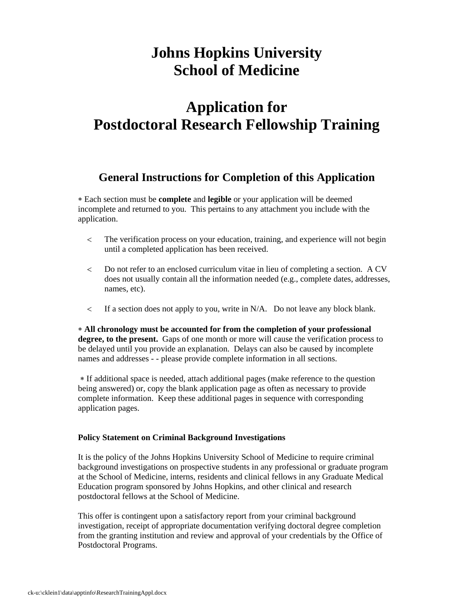## **Johns Hopkins University School of Medicine**

## **Application for Postdoctoral Research Fellowship Training**

## **General Instructions for Completion of this Application**

 Each section must be **complete** and **legible** or your application will be deemed incomplete and returned to you. This pertains to any attachment you include with the application.

- The verification process on your education, training, and experience will not begin until a completed application has been received.
- Do not refer to an enclosed curriculum vitae in lieu of completing a section. A CV does not usually contain all the information needed (e.g., complete dates, addresses, names, etc).
- $\leq$  If a section does not apply to you, write in N/A. Do not leave any block blank.

 **All chronology must be accounted for from the completion of your professional degree, to the present.** Gaps of one month or more will cause the verification process to be delayed until you provide an explanation. Delays can also be caused by incomplete names and addresses - - please provide complete information in all sections.

 If additional space is needed, attach additional pages (make reference to the question being answered) or, copy the blank application page as often as necessary to provide complete information. Keep these additional pages in sequence with corresponding application pages.

## **Policy Statement on Criminal Background Investigations**

It is the policy of the Johns Hopkins University School of Medicine to require criminal background investigations on prospective students in any professional or graduate program at the School of Medicine, interns, residents and clinical fellows in any Graduate Medical Education program sponsored by Johns Hopkins, and other clinical and research postdoctoral fellows at the School of Medicine.

This offer is contingent upon a satisfactory report from your criminal background investigation, receipt of appropriate documentation verifying doctoral degree completion from the granting institution and review and approval of your credentials by the Office of Postdoctoral Programs.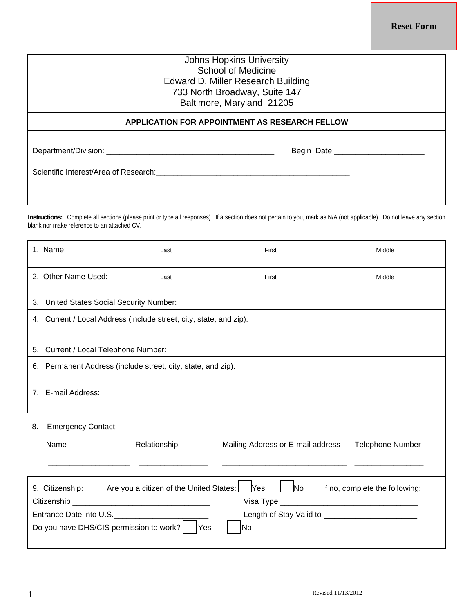**Reset Form**

| <b>Johns Hopkins University</b><br>School of Medicine<br>Edward D. Miller Research Building<br>733 North Broadway, Suite 147<br>Baltimore, Maryland 21205 |                               |  |  |
|-----------------------------------------------------------------------------------------------------------------------------------------------------------|-------------------------------|--|--|
| APPLICATION FOR APPOINTMENT AS RESEARCH FELLOW                                                                                                            |                               |  |  |
| Scientific Interest/Area of Research: Scientific Interest Area                                                                                            | Begin Date: <b>Example 20</b> |  |  |
| oli u 11 ili 12 ili 12 ili 12 ili 12 ili 12 ili 12 ili 12 ili 12 ili 12 ili 12 ili 12 ili 12 ili 12 ili 12 ili                                            |                               |  |  |

**Instructions:** Complete all sections (please print or type all responses). If a section does not pertain to you, mark as N/A (not applicable). Do not leave any section blank nor make reference to an attached CV.

|                                                                                                                                                                                                               | 1. Name:                                                           | Last         | First                             | Middle                  |  |  |
|---------------------------------------------------------------------------------------------------------------------------------------------------------------------------------------------------------------|--------------------------------------------------------------------|--------------|-----------------------------------|-------------------------|--|--|
|                                                                                                                                                                                                               | 2. Other Name Used:                                                | Last         | First                             | Middle                  |  |  |
|                                                                                                                                                                                                               | 3. United States Social Security Number:                           |              |                                   |                         |  |  |
|                                                                                                                                                                                                               | 4. Current / Local Address (include street, city, state, and zip): |              |                                   |                         |  |  |
|                                                                                                                                                                                                               | 5. Current / Local Telephone Number:                               |              |                                   |                         |  |  |
|                                                                                                                                                                                                               | 6. Permanent Address (include street, city, state, and zip):       |              |                                   |                         |  |  |
|                                                                                                                                                                                                               | 7. E-mail Address:                                                 |              |                                   |                         |  |  |
| 8.                                                                                                                                                                                                            | <b>Emergency Contact:</b>                                          |              |                                   |                         |  |  |
|                                                                                                                                                                                                               | Name                                                               | Relationship | Mailing Address or E-mail address | <b>Telephone Number</b> |  |  |
| Yes<br>No.<br>9. Citizenship: Are you a citizen of the United States:<br>If no, complete the following:<br>Entrance Date into U.S.__________________<br>Do you have DHS/CIS permission to work?<br> Yes<br>No |                                                                    |              |                                   |                         |  |  |
|                                                                                                                                                                                                               |                                                                    |              |                                   |                         |  |  |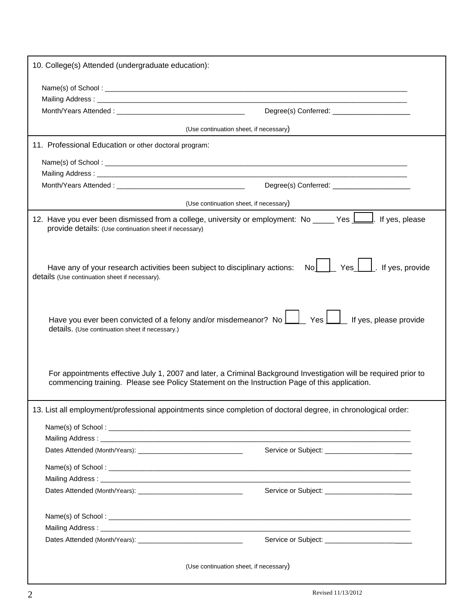| 10. College(s) Attended (undergraduate education):                                                                                                                                                                                                                                                                                                                                                                                                                                                                                      |  |  |  |  |
|-----------------------------------------------------------------------------------------------------------------------------------------------------------------------------------------------------------------------------------------------------------------------------------------------------------------------------------------------------------------------------------------------------------------------------------------------------------------------------------------------------------------------------------------|--|--|--|--|
|                                                                                                                                                                                                                                                                                                                                                                                                                                                                                                                                         |  |  |  |  |
|                                                                                                                                                                                                                                                                                                                                                                                                                                                                                                                                         |  |  |  |  |
| Degree(s) Conferred: _________________________                                                                                                                                                                                                                                                                                                                                                                                                                                                                                          |  |  |  |  |
| (Use continuation sheet, if necessary)                                                                                                                                                                                                                                                                                                                                                                                                                                                                                                  |  |  |  |  |
| 11. Professional Education or other doctoral program:                                                                                                                                                                                                                                                                                                                                                                                                                                                                                   |  |  |  |  |
|                                                                                                                                                                                                                                                                                                                                                                                                                                                                                                                                         |  |  |  |  |
|                                                                                                                                                                                                                                                                                                                                                                                                                                                                                                                                         |  |  |  |  |
|                                                                                                                                                                                                                                                                                                                                                                                                                                                                                                                                         |  |  |  |  |
| (Use continuation sheet, if necessary)                                                                                                                                                                                                                                                                                                                                                                                                                                                                                                  |  |  |  |  |
| 12. Have you ever been dismissed from a college, university or employment: No _____ Yes <b>L___</b> . If yes, please<br>provide details: (Use continuation sheet if necessary)                                                                                                                                                                                                                                                                                                                                                          |  |  |  |  |
| $\overline{N}$ $\overline{N}$ $\overline{N}$ $\overline{N}$ $\overline{N}$ $\overline{N}$ $\overline{N}$ $\overline{N}$ $\overline{N}$ $\overline{N}$ $\overline{N}$ $\overline{N}$ $\overline{N}$ $\overline{N}$ $\overline{N}$ $\overline{N}$ $\overline{N}$ $\overline{N}$ $\overline{N}$ $\overline{N}$ $\overline{N}$ $\overline{N}$ $\overline{N}$ $\overline{N}$ $\overline{$<br>If yes, provide<br>Have any of your research activities been subject to disciplinary actions:<br>details (Use continuation sheet if necessary). |  |  |  |  |
| Have you ever been convicted of a felony and/or misdemeanor? No $\boxed{\phantom{1}}$ Yes $\boxed{\phantom{1}}$ If yes, please provide<br>details. (Use continuation sheet if necessary.)                                                                                                                                                                                                                                                                                                                                               |  |  |  |  |
| For appointments effective July 1, 2007 and later, a Criminal Background Investigation will be required prior to<br>commencing training. Please see Policy Statement on the Instruction Page of this application.                                                                                                                                                                                                                                                                                                                       |  |  |  |  |
| 13. List all employment/professional appointments since completion of doctoral degree, in chronological order:                                                                                                                                                                                                                                                                                                                                                                                                                          |  |  |  |  |
|                                                                                                                                                                                                                                                                                                                                                                                                                                                                                                                                         |  |  |  |  |
|                                                                                                                                                                                                                                                                                                                                                                                                                                                                                                                                         |  |  |  |  |
|                                                                                                                                                                                                                                                                                                                                                                                                                                                                                                                                         |  |  |  |  |
|                                                                                                                                                                                                                                                                                                                                                                                                                                                                                                                                         |  |  |  |  |
|                                                                                                                                                                                                                                                                                                                                                                                                                                                                                                                                         |  |  |  |  |
|                                                                                                                                                                                                                                                                                                                                                                                                                                                                                                                                         |  |  |  |  |
| Dates Attended (Month/Years): National Contract of Contract Contract of Contract Contract Contract Contract Contract Contract Contract Contract Contract Contract Contract Contract Contract Contract Contract Contract Contra                                                                                                                                                                                                                                                                                                          |  |  |  |  |
|                                                                                                                                                                                                                                                                                                                                                                                                                                                                                                                                         |  |  |  |  |
|                                                                                                                                                                                                                                                                                                                                                                                                                                                                                                                                         |  |  |  |  |
|                                                                                                                                                                                                                                                                                                                                                                                                                                                                                                                                         |  |  |  |  |
| (Use continuation sheet, if necessary)                                                                                                                                                                                                                                                                                                                                                                                                                                                                                                  |  |  |  |  |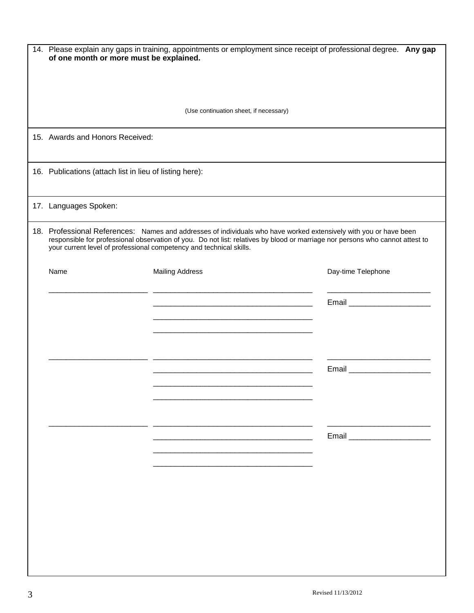| 14. Please explain any gaps in training, appointments or employment since receipt of professional degree. Any gap<br>of one month or more must be explained.                                                                                                                                                              |                                        |                               |  |  |
|---------------------------------------------------------------------------------------------------------------------------------------------------------------------------------------------------------------------------------------------------------------------------------------------------------------------------|----------------------------------------|-------------------------------|--|--|
|                                                                                                                                                                                                                                                                                                                           |                                        |                               |  |  |
|                                                                                                                                                                                                                                                                                                                           | (Use continuation sheet, if necessary) |                               |  |  |
| 15. Awards and Honors Received:                                                                                                                                                                                                                                                                                           |                                        |                               |  |  |
| 16. Publications (attach list in lieu of listing here):                                                                                                                                                                                                                                                                   |                                        |                               |  |  |
| 17. Languages Spoken:                                                                                                                                                                                                                                                                                                     |                                        |                               |  |  |
| 18. Professional References: Names and addresses of individuals who have worked extensively with you or have been<br>responsible for professional observation of you. Do not list: relatives by blood or marriage nor persons who cannot attest to<br>your current level of professional competency and technical skills. |                                        |                               |  |  |
| Name                                                                                                                                                                                                                                                                                                                      | <b>Mailing Address</b>                 | Day-time Telephone            |  |  |
|                                                                                                                                                                                                                                                                                                                           |                                        | Email _______________________ |  |  |
|                                                                                                                                                                                                                                                                                                                           |                                        |                               |  |  |
|                                                                                                                                                                                                                                                                                                                           |                                        |                               |  |  |
|                                                                                                                                                                                                                                                                                                                           |                                        | Email _______________________ |  |  |
|                                                                                                                                                                                                                                                                                                                           |                                        |                               |  |  |
|                                                                                                                                                                                                                                                                                                                           |                                        |                               |  |  |
|                                                                                                                                                                                                                                                                                                                           |                                        |                               |  |  |
|                                                                                                                                                                                                                                                                                                                           |                                        |                               |  |  |
|                                                                                                                                                                                                                                                                                                                           |                                        |                               |  |  |
|                                                                                                                                                                                                                                                                                                                           |                                        |                               |  |  |
|                                                                                                                                                                                                                                                                                                                           |                                        |                               |  |  |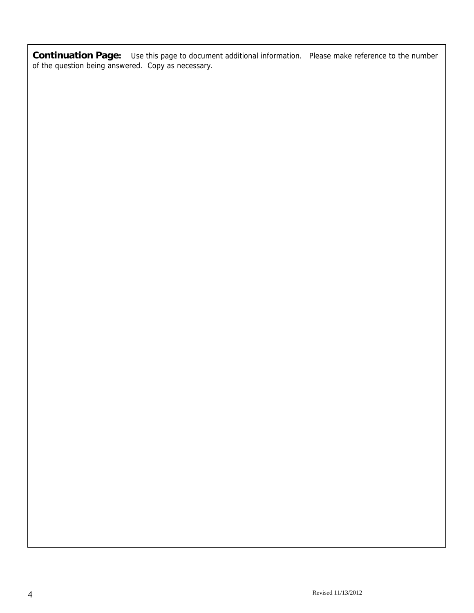**Continuation Page:** Use this page to document additional information. Please make reference to the number of the question being answered. Copy as necessary.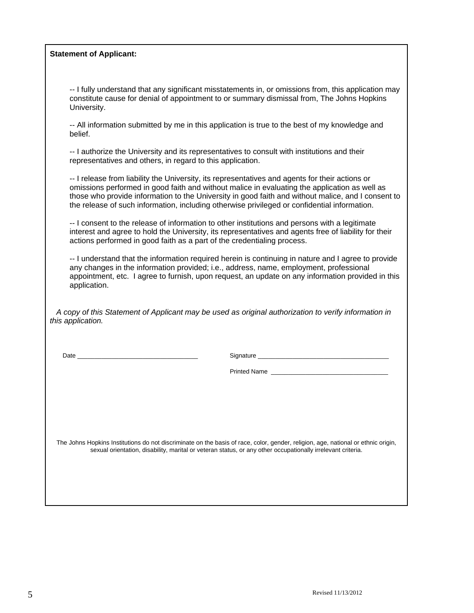| <b>Statement of Applicant:</b> |  |  |  |
|--------------------------------|--|--|--|
|--------------------------------|--|--|--|

| -- I fully understand that any significant misstatements in, or omissions from, this application may |
|------------------------------------------------------------------------------------------------------|
| constitute cause for denial of appointment to or summary dismissal from, The Johns Hopkins           |
| University.                                                                                          |

-- All information submitted by me in this application is true to the best of my knowledge and belief.

-- I authorize the University and its representatives to consult with institutions and their representatives and others, in regard to this application.

-- I release from liability the University, its representatives and agents for their actions or omissions performed in good faith and without malice in evaluating the application as well as those who provide information to the University in good faith and without malice, and I consent to the release of such information, including otherwise privileged or confidential information.

-- I consent to the release of information to other institutions and persons with a legitimate interest and agree to hold the University, its representatives and agents free of liability for their actions performed in good faith as a part of the credentialing process.

-- I understand that the information required herein is continuing in nature and I agree to provide any changes in the information provided; i.e., address, name, employment, professional appointment, etc. I agree to furnish, upon request, an update on any information provided in this application.

 *A copy of this Statement of Applicant may be used as original authorization to verify information in this application.* 

Date \_\_\_\_\_\_\_\_\_\_\_\_\_\_\_\_\_\_\_\_\_\_\_\_\_\_\_\_\_\_\_\_\_\_\_ Signature \_\_\_\_\_\_\_\_\_\_\_\_\_\_\_\_\_\_\_\_\_\_\_\_\_\_\_\_\_\_\_\_\_\_\_\_\_\_

Printed Name \_\_\_\_\_\_\_\_\_\_\_\_\_\_\_\_\_\_\_\_\_\_\_\_\_\_\_\_\_\_\_\_\_\_

 The Johns Hopkins Institutions do not discriminate on the basis of race, color, gender, religion, age, national or ethnic origin, sexual orientation, disability, marital or veteran status, or any other occupationally irrelevant criteria.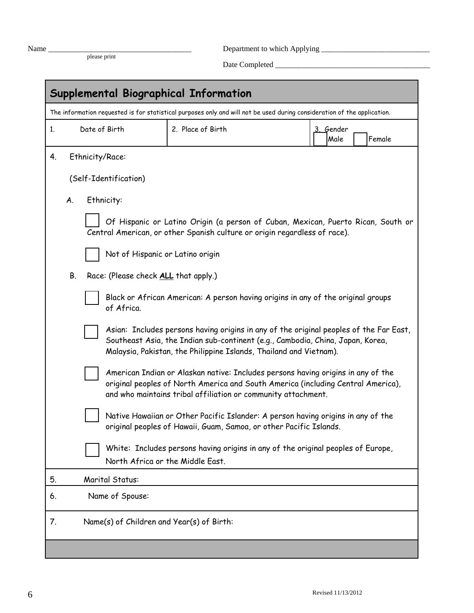| ×<br>× | ۰, |
|--------|----|
|        |    |

Name \_\_\_\_\_\_\_\_\_\_\_\_\_\_\_\_\_\_\_\_\_\_\_\_\_\_\_\_\_\_\_\_\_\_\_\_\_ Department to which Applying \_\_\_\_\_\_\_\_\_\_\_\_\_\_\_\_\_\_\_\_\_\_\_\_\_\_\_\_

please print Date Completed \_\_\_\_\_\_\_\_\_\_\_\_\_\_\_\_\_\_\_\_\_\_\_\_\_\_\_\_\_\_\_\_\_\_\_\_\_\_\_\_

| Supplemental Biographical Information                                                                                    |                                                                                                                                                                                                                                                |                                                                                                                                                               |                             |  |  |  |
|--------------------------------------------------------------------------------------------------------------------------|------------------------------------------------------------------------------------------------------------------------------------------------------------------------------------------------------------------------------------------------|---------------------------------------------------------------------------------------------------------------------------------------------------------------|-----------------------------|--|--|--|
| The information requested is for statistical purposes only and will not be used during consideration of the application. |                                                                                                                                                                                                                                                |                                                                                                                                                               |                             |  |  |  |
| 1.                                                                                                                       | Date of Birth                                                                                                                                                                                                                                  | 2. Place of Birth                                                                                                                                             | 3. Gender<br>Female<br>Male |  |  |  |
| 4.                                                                                                                       | Ethnicity/Race:                                                                                                                                                                                                                                |                                                                                                                                                               |                             |  |  |  |
|                                                                                                                          | (Self-Identification)                                                                                                                                                                                                                          |                                                                                                                                                               |                             |  |  |  |
| A.                                                                                                                       | Ethnicity:                                                                                                                                                                                                                                     |                                                                                                                                                               |                             |  |  |  |
|                                                                                                                          |                                                                                                                                                                                                                                                | Of Hispanic or Latino Origin (a person of Cuban, Mexican, Puerto Rican, South or<br>Central American, or other Spanish culture or origin regardless of race). |                             |  |  |  |
|                                                                                                                          | Not of Hispanic or Latino origin                                                                                                                                                                                                               |                                                                                                                                                               |                             |  |  |  |
| В.                                                                                                                       | Race: (Please check ALL that apply.)                                                                                                                                                                                                           |                                                                                                                                                               |                             |  |  |  |
|                                                                                                                          | of Africa.                                                                                                                                                                                                                                     | Black or African American: A person having origins in any of the original groups                                                                              |                             |  |  |  |
|                                                                                                                          | Asian: Includes persons having origins in any of the original peoples of the Far East,<br>Southeast Asia, the Indian sub-continent (e.g., Cambodia, China, Japan, Korea,<br>Malaysia, Pakistan, the Philippine Islands, Thailand and Vietnam). |                                                                                                                                                               |                             |  |  |  |
|                                                                                                                          | American Indian or Alaskan native: Includes persons having origins in any of the<br>original peoples of North America and South America (including Central America),<br>and who maintains tribal affiliation or community attachment.          |                                                                                                                                                               |                             |  |  |  |
|                                                                                                                          | Native Hawaiian or Other Pacific Islander: A person having origins in any of the<br>original peoples of Hawaii, Guam, Samoa, or other Pacific Islands.                                                                                         |                                                                                                                                                               |                             |  |  |  |
|                                                                                                                          | White: Includes persons having origins in any of the original peoples of Europe,<br>North Africa or the Middle East.                                                                                                                           |                                                                                                                                                               |                             |  |  |  |
| 5.                                                                                                                       | Marital Status:                                                                                                                                                                                                                                |                                                                                                                                                               |                             |  |  |  |
| 6.                                                                                                                       | Name of Spouse:                                                                                                                                                                                                                                |                                                                                                                                                               |                             |  |  |  |
| 7.                                                                                                                       | Name(s) of Children and Year(s) of Birth:                                                                                                                                                                                                      |                                                                                                                                                               |                             |  |  |  |
|                                                                                                                          |                                                                                                                                                                                                                                                |                                                                                                                                                               |                             |  |  |  |